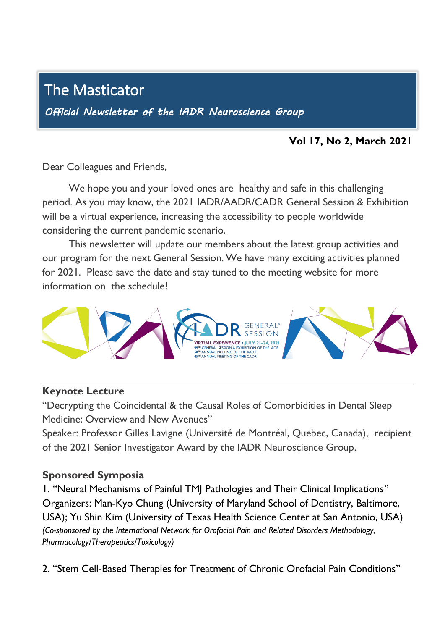# The Masticator

I

*Official Newsletter of the IADR Neuroscience Group* 

## **Vol 17, No 2, March 2021**

Dear Colleagues and Friends,

We hope you and your loved ones are healthy and safe in this challenging period. As you may know, the 2021 IADR/AADR/CADR General Session & Exhibition will be a virtual experience, increasing the accessibility to people worldwide considering the current pandemic scenario.

This newsletter will update our members about the latest group activities and our program for the next General Session. We have many exciting activities planned for 2021. Please save the date and stay tuned to the meeting website for more information on the schedule!



#### **Keynote Lecture**

"Decrypting the Coincidental & the Causal Roles of Comorbidities in Dental Sleep Medicine: Overview and New Avenues"

Speaker: Professor Gilles Lavigne (Université de Montréal, Quebec, Canada), recipient of the 2021 Senior Investigator Award by the IADR Neuroscience Group.

#### **Sponsored Symposia**

1. "Neural Mechanisms of Painful TMJ Pathologies and Their Clinical Implications" Organizers: Man-Kyo Chung (University of Maryland School of Dentistry, Baltimore, USA); Yu Shin Kim (University of Texas Health Science Center at San Antonio, USA) *(Co-sponsored by the International Network for Orofacial Pain and Related Disorders Methodology, Pharmacology/Therapeutics/Toxicology)*

2. "Stem Cell-Based Therapies for Treatment of Chronic Orofacial Pain Conditions"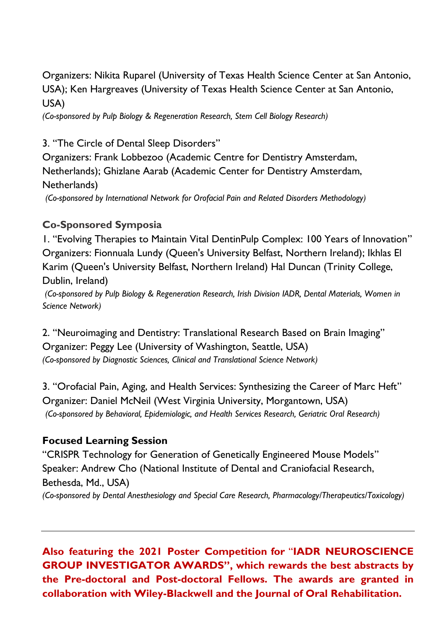Organizers: Nikita Ruparel (University of Texas Health Science Center at San Antonio, USA); Ken Hargreaves (University of Texas Health Science Center at San Antonio, USA)

*(Co-sponsored by Pulp Biology & Regeneration Research, Stem Cell Biology Research)*

3. "The Circle of Dental Sleep Disorders"

Organizers: Frank Lobbezoo (Academic Centre for Dentistry Amsterdam, Netherlands); Ghizlane Aarab (Academic Center for Dentistry Amsterdam, Netherlands)

*(Co-sponsored by International Network for Orofacial Pain and Related Disorders Methodology)*

# **Co-Sponsored Symposia**

1. "Evolving Therapies to Maintain Vital DentinPulp Complex: 100 Years of Innovation" Organizers: Fionnuala Lundy (Queen's University Belfast, Northern Ireland); Ikhlas El Karim (Queen's University Belfast, Northern Ireland) Hal Duncan (Trinity College, Dublin, Ireland)

*(Co-sponsored by Pulp Biology & Regeneration Research, Irish Division IADR, Dental Materials, Women in Science Network)*

2. "Neuroimaging and Dentistry: Translational Research Based on Brain Imaging" Organizer: Peggy Lee (University of Washington, Seattle, USA) *(Co-sponsored by Diagnostic Sciences, Clinical and Translational Science Network)*

3. "Orofacial Pain, Aging, and Health Services: Synthesizing the Career of Marc Heft" Organizer: Daniel McNeil (West Virginia University, Morgantown, USA) *(Co-sponsored by Behavioral, Epidemiologic, and Health Services Research, Geriatric Oral Research)*

## **Focused Learning Session**

"CRISPR Technology for Generation of Genetically Engineered Mouse Models" Speaker: Andrew Cho (National Institute of Dental and Craniofacial Research, Bethesda, Md., USA) *(Co-sponsored by Dental Anesthesiology and Special Care Research, Pharmacology/Therapeutics/Toxicology)*

**Also featuring the 2021 Poster Competition for** "**IADR NEUROSCIENCE GROUP INVESTIGATOR AWARDS", which rewards the best abstracts by the Pre-doctoral and Post-doctoral Fellows. The awards are granted in collaboration with Wiley-Blackwell and the Journal of Oral Rehabilitation.**